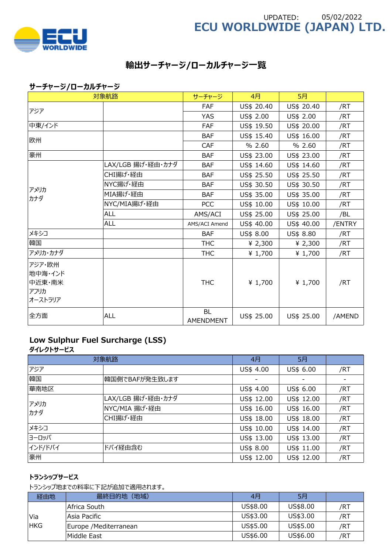

# **ECU WORLDWIDE (JAPAN) LTD.** UPDATED: 05/02/2022

# **輸出サーチャージ/ローカルチャージ一覧**

## **サーチャージ/ローカルチャージ**

|          | 対象航路              | サーチャージ                 | 4月         | 5月         |        |
|----------|-------------------|------------------------|------------|------------|--------|
| アジア      |                   | FAF                    | US\$ 20.40 | US\$ 20.40 | /RT    |
|          |                   | <b>YAS</b>             | US\$ 2.00  | US\$ 2.00  | /RT    |
| 中東/インド   |                   | <b>FAF</b>             | US\$ 19.50 | US\$ 20.00 | /RT    |
| 欧州       |                   | <b>BAF</b>             | US\$ 15.40 | US\$ 16.00 | /RT    |
|          |                   | <b>CAF</b>             | % 2.60     | % 2.60     | /RT    |
| 豪州       |                   | <b>BAF</b>             | US\$ 23.00 | US\$ 23.00 | /RT    |
|          | LAX/LGB 揚げ・経由・カナダ | <b>BAF</b>             | US\$ 14.60 | US\$ 14.60 | /RT    |
|          | CHI揚げ・経由          | <b>BAF</b>             | US\$ 25.50 | US\$ 25.50 | /RT    |
| アメリカ     | NYC揚げ·経由          | <b>BAF</b>             | US\$ 30.50 | US\$ 30.50 | /RT    |
| カナダ      | MIA揚げ·経由          | <b>BAF</b>             | US\$ 35.00 | US\$ 35.00 | /RT    |
|          | NYC/MIA揚げ・経由      | <b>PCC</b>             | US\$ 10.00 | US\$ 10.00 | /RT    |
|          | <b>ALL</b>        | AMS/ACI                | US\$ 25.00 | US\$ 25.00 | /BL    |
|          | <b>ALL</b>        | AMS/ACI Amend          | US\$ 40.00 | US\$ 40.00 | /ENTRY |
| メキシコ     |                   | <b>BAF</b>             | US\$ 8.00  | US\$ 8.80  | /RT    |
| 韓国       |                   | <b>THC</b>             | ¥ 2,300    | ¥ $2,300$  | /RT    |
| アメリカ・カナダ |                   | <b>THC</b>             | ¥ 1,700    | ¥ 1,700    | /RT    |
| アジア・欧州   |                   |                        |            |            |        |
| 地中海・インド  |                   |                        |            |            |        |
| 中近東・南米   |                   | <b>THC</b>             | ¥ $1,700$  | ¥ 1,700    | /RT    |
| アフリカ     |                   |                        |            |            |        |
| オーストラリア  |                   |                        |            |            |        |
| 全方面      | <b>ALL</b>        | <b>BL</b><br>AMENDMENT | US\$ 25.00 | US\$ 25.00 | /AMEND |

## **Low Sulphur Fuel Surcharge (LSS)**

**ダイレクトサービス**

|             | 対象航路              |            | 5月         |     |
|-------------|-------------------|------------|------------|-----|
| アジア         |                   | US\$ 4.00  | US\$ 6.00  | /RT |
| 韓国          | 韓国側でBAFが発生致します    |            |            |     |
| 華南地区        |                   | US\$ 4.00  | US\$ 6.00  | /RT |
| アメリカ<br>カナダ | LAX/LGB 揚げ・経由・カナダ | US\$ 12.00 | US\$ 12.00 | /RT |
|             | NYC/MIA 揚げ・経由     | US\$ 16.00 | US\$ 16.00 | /RT |
|             | CHI揚げ・経由          | US\$ 18.00 | US\$ 18.00 | /RT |
| メキシコ        |                   | US\$ 10.00 | US\$ 14.00 | /RT |
| ヨーロッパ       |                   | US\$ 13.00 | US\$ 13.00 | /RT |
| インド/ドバイ     | ドバイ経由含む           | US\$ 8.00  | US\$ 11.00 | /RT |
| 豪州          |                   | US\$ 12.00 | US\$ 12.00 | /RT |

### **トランシップサービス**

トランシップ地までの料率に下記が追加で適⽤されます。

| 経由地        | 最終目的地 (地域)             | 4月       | 5月       |     |
|------------|------------------------|----------|----------|-----|
|            | Africa South           | US\$8,00 | US\$8,00 | /RT |
| Via        | Asia Pacific           | US\$3.00 | US\$3.00 | /RT |
| <b>HKG</b> | Europe / Mediterranean | US\$5.00 | US\$5.00 | /RT |
|            | Middle East            | US\$6.00 | US\$6.00 | /RT |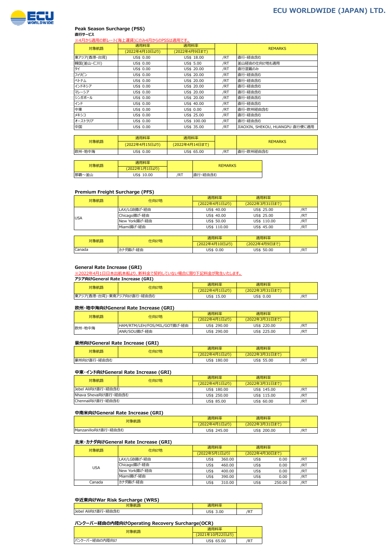

#### **Peak Season Surcharge (PSS) 直行サービス**

ー・・・ ー・・<br><u>※4月から適用の新レート(海上運賃)にのみ4月からのPSSは適用です。</u>

| 対象航路        | 適用料率           | 適用料率          |     | <b>REMARKS</b>                  |
|-------------|----------------|---------------|-----|---------------------------------|
|             | (2022年4月10日より) | (2022年4月9日まで) |     |                                 |
| 東アジア(香港・台湾) | US\$ 0.00      | US\$ 18.00    | /RT | 直行・経由含む                         |
| 韓国(釜山・仁川)   | US\$ 0.00      | US\$ 5.00     | /RT | 釜山経由の仕向け地も適用                    |
| タイ          | US\$ 0.00      | US\$ 20.00    | /RT | 直行混載のみ                          |
| フィリピン       | US\$ 0.00      | US\$ 20.00    | /RT | 直行・経由含む                         |
| ベトナム        | US\$ 0.00      | US\$ 20.00    | /RT | 直行・経由含む                         |
| インドネシア      | US\$ 0.00      | US\$ 20.00    | /RT | 直行・経由含む                         |
| マレーシア       | US\$ 0.00      | US\$ 20.00    | /RT | 直行・経由含む                         |
| シンガポール      | US\$ 0.00      | US\$ 20.00    | /RT | 直行・経由含む                         |
| インド         | US\$ 0.00      | US\$ 40.00    | /RT | 直行・経由含む                         |
| 中東          | US\$ 0.00      | US\$ 0.00     | /RT | 直行・欧州経由含む                       |
| メキシコ        | US\$ 0.00      | US\$ 25.00    | /RT | 直行・経由含む                         |
| オーストラリア     | US\$ 0.00      | US\$ 100.00   | /RT | 直行・経由含む                         |
| 中国          | US\$ 0.00      | US\$ 35.00    | /RT | JIAOXIN, SHEKOU, HUANGPU 直行便に適用 |

|        | 適用料率           | 滴用料率           |     |                |  |
|--------|----------------|----------------|-----|----------------|--|
| 対象航路   | (2022年4月15日より) | (2022年4月14日まで) |     | <b>REMARKS</b> |  |
| 欧州・地中海 | US\$ 0.00      | US\$ 65.00     | /RT | 直行・欧州経由含む      |  |

| 対象航路  | 適用料率          |     | <b>REMARKS</b> |
|-------|---------------|-----|----------------|
|       | (2022年1月1日より) |     |                |
| 那覇~釜山 | US\$ 10.00    | /RT | 直行・経由含む        |

#### **Premium Freight Surcharge (PFS)**

| 対象航路 | 仕向け地          | 適用料率          | 適用料率           |     |
|------|---------------|---------------|----------------|-----|
|      |               | (2022年4月1日より) | (2022年3月31日まで) |     |
|      | LAX/LGB揚げ・経由  | US\$ 40.00    | US\$ 25.00     | /RT |
| USA  | Chicago揚げ・経由  | US\$ 40.00    | US\$ 25.00     | /RT |
|      | New York揚げ・経由 | US\$ 50.00    | US\$ 110.00    | /RT |
|      | Miami揚げ・経由    | US\$ 110.00   | US\$ 45.00     | /RI |
|      |               |               |                |     |

| 対象航路<br>仕向け地  |         | 商用料率           | 窗用料率          |     |
|---------------|---------|----------------|---------------|-----|
|               |         | (2022年4月10日より) | (2022年4月9日まで) |     |
| <b>Canada</b> | けダ揚げ・経由 | US\$ 0.00      | US\$ 50.00    | /RT |

#### **General Rate Increase (GRI)**

。<br>※2022年4月1日日本出航本船より、新料金で契約していない場合に限り下記料金が発生いたします。

**アジア向けGeneral Rate Increase (GRI)**

| 対象航路                       | 仕向け地 | 滴用料率          | 商用料率           |     |
|----------------------------|------|---------------|----------------|-----|
|                            |      | (2022年4月1日より) | (2022年3月31日まで) |     |
| 東アジア(香港・台湾)・東南アジア向け直行・経由含む |      | US\$ 15.00    | US\$ 0.00      | /RT |

#### **欧州・地中海向けGeneral Rate Increase (GRI)**

| 対象航路   | 仕向け地                         | 適用料率          | 適用料率           |     |
|--------|------------------------------|---------------|----------------|-----|
|        |                              | (2022年4月1日より) | (2022年3月31日まで) |     |
| 欧州・地中海 | HAM/RTM/LEH/FOS/MIL/GOT揚げ・経由 | US\$ 290.00   | US\$ 220.00    | /R1 |
|        | ANR/SOU揚げ·経由                 | US\$ 290.00   | US\$ 225.00    | /R1 |

#### **豪州向けGeneral Rate Increase (GRI)**

| 対象航路        | 仕向け地 | 商用料率           | "*用料率……        |     |
|-------------|------|----------------|----------------|-----|
|             |      | (2022年4月1日より)  | (2022年3月31日まで) |     |
| 豪州向け直行・経由含む |      | US\$<br>180.00 | US\$ 55.00     | /RT |

#### **中東・インド向けGeneral Rate Increase (GRI)**

| 対象航路                 | 仕向け地 | 適用料率          | 適用料率           |     |
|----------------------|------|---------------|----------------|-----|
|                      |      | (2022年4月1日より) | (2022年3月31日まで) |     |
| Jebel Ali向け直行・経由含む   |      | US\$ 180.00   | US\$ 145.00    | /RT |
| Nhava Sheva向け直行・経由含む |      | US\$ 250.00   | US\$ 115.00    | /RT |
| Chennai向け直行・経由含む     |      | US\$ 85.00    | US\$ 60.00     | /RT |

#### **中南米向けGeneral Rate Increase (GRI)**

| 対象航路                | 滴用料率          | 用料率            |     |
|---------------------|---------------|----------------|-----|
|                     | (2022年4月1日より) | (2022年3月31日まで) |     |
| Manzanillo向け直行・経由含む | US\$ 245.00   | US\$<br>200.00 | /RT |

#### **北米・カナダ向けGeneral Rate Increase (GRI)**

| 対象航路   | 仕向け地          | 適用料率          |        | 適用料率           |        |     |
|--------|---------------|---------------|--------|----------------|--------|-----|
|        |               | (2022年5月1日より) |        | (2022年4月30日まで) |        |     |
| USA    | LAX/LGB揚げ·経由  | US\$          | 360.00 | US\$           | 0.00   | /R1 |
|        | Chicago揚げ・経由  | US\$          | 460.00 | US\$           | 0.00   | /R1 |
|        | New York揚げ・経由 | US\$          | 400.00 | US\$           | 0.00   | /R1 |
|        | Miami揚げ・経由    | US\$          | 390.00 | US\$           | 0.00   | /R1 |
| Canada | カナダ揚げ・経由      | US\$          | 310.00 | US\$           | 250.00 | /R1 |

#### **中近東向けWar Risk Surcharge (WRS)**

| .<br>--                                              |               |            |  |  |
|------------------------------------------------------|---------------|------------|--|--|
|                                                      |               |            |  |  |
| $47 + 4$<br>,_<br>Jebel Ali向け直行<br>. г. 44 г.<br>. . | .00<br>$\sim$ | <b>TAT</b> |  |  |
|                                                      |               |            |  |  |

#### **バンクーバー経由の内陸向けOperating Recovery Surcharge(OCR)**

| 象航        |                           |     |
|-----------|---------------------------|-----|
|           | $F_{N}$<br>(2021年10月22日より |     |
| 『−経由の内陸向け | US\$ 65.00                | /RT |